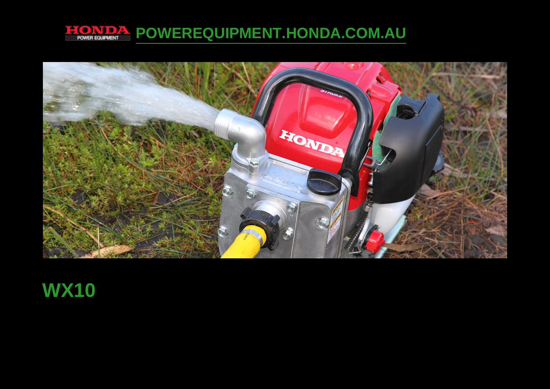

**[POWEREQUIPMENT.HONDA.COM.AU](http://powerequipment.honda.com.au)** 



# **WX10**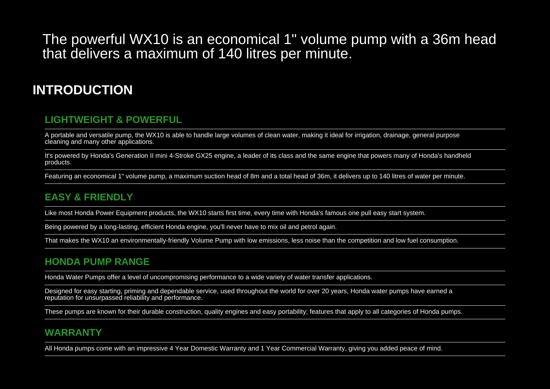The powerful WX10 is an economical 1" volume pump with a 36m headthat delivers a maximum of 140 litres per minute.

## **INTRODUCTION**

#### **LIGHTWEIGHT & POWERFUL**

A portable and versatile pump, the WX10 is able to handle large volumes of clean water, making it ideal for irrigation, drainage, general purposecleaning and many other applications.

It's powered by Honda's Generation II mini 4-Stroke GX25 engine, a leader of its class and the same engine that powers many of Honda's handheldproducts.

Featuring an economical 1" volume pump, a maximum suction head of 8m and a total head of 36m, it delivers up to 140 litres of water per minute.

#### **EASY & FRIENDLY**

Like most Honda Power Equipment products, the WX10 starts first time, every time with Honda's famous one pull easy start system.

Being powered by a long-lasting, efficient Honda engine, you'll never have to mix oil and petrol again.

That makes the WX10 an environmentally-friendly Volume Pump with low emissions, less noise than the competition and low fuel consumption.

#### **HONDA PUMP RANGE**

Honda Water Pumps offer a level of uncompromising performance to a wide variety of water transfer applications.

Designed for easy starting, priming and dependable service, used throughout the world for over 20 years, Honda water pumps have earned areputation for unsurpassed reliability and performance.

These pumps are known for their durable construction, quality engines and easy portability; features that apply to all categories of Honda pumps.

#### **WARRANTY**

All Honda pumps come with an impressive 4 Year Domestic Warranty and 1 Year Commercial Warranty, giving you added peace of mind.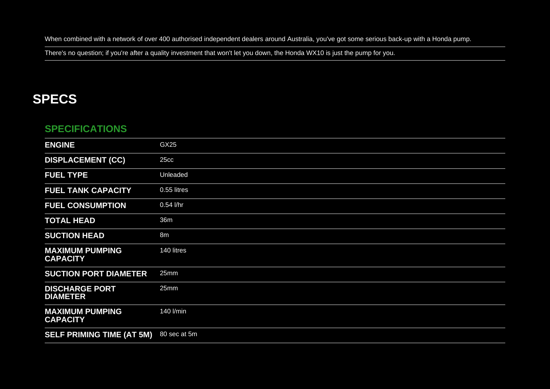When combined with a network of over 400 authorised independent dealers around Australia, you've got some serious back-up with a Honda pump.

There's no question; if you're after a quality investment that won't let you down, the Honda WX10 is just the pump for you.

## **SPECS**

#### **SPECIFICATIONS**

| <b>ENGINE</b>                             | GX25         |
|-------------------------------------------|--------------|
| <b>DISPLACEMENT (CC)</b>                  | 25cc         |
| <b>FUEL TYPE</b>                          | Unleaded     |
| <b>FUEL TANK CAPACITY</b>                 | 0.55 litres  |
| <b>FUEL CONSUMPTION</b>                   | $0.54$ l/hr  |
| <b>TOTAL HEAD</b>                         | 36m          |
| <b>SUCTION HEAD</b>                       | 8m           |
| <b>MAXIMUM PUMPING</b><br><b>CAPACITY</b> | 140 litres   |
| <b>SUCTION PORT DIAMETER</b>              | 25mm         |
| <b>DISCHARGE PORT</b><br><b>DIAMETER</b>  | 25mm         |
| <b>MAXIMUM PUMPING</b><br><b>CAPACITY</b> | 140 l/min    |
| <b>SELF PRIMING TIME (AT 5M)</b>          | 80 sec at 5m |